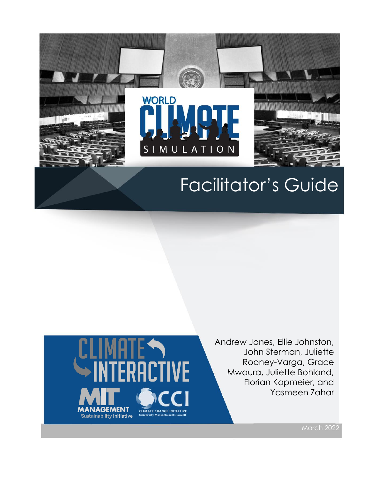

# Facilitator's Guide



Andrew Jones, Ellie Johnston, John Sterman, Juliette Rooney-Varga, Grace Mwaura, Juliette Bohland, Florian Kapmeier, and Yasmeen Zahar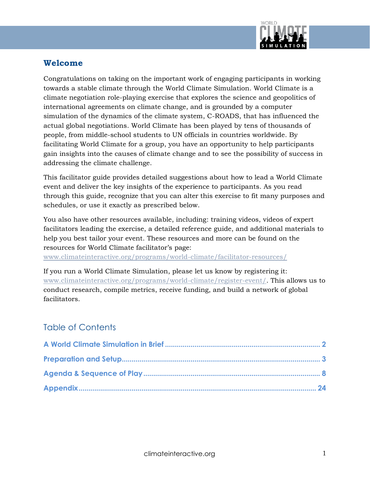

#### **Welcome**

Congratulations on taking on the important work of engaging participants in working towards a stable climate through the World Climate Simulation. World Climate is a climate negotiation role-playing exercise that explores the science and geopolitics of international agreements on climate change, and is grounded by a computer simulation of the dynamics of the climate system, C-ROADS, that has influenced the actual global negotiations. World Climate has been played by tens of thousands of people, from middle-school students to UN officials in countries worldwide. By facilitating World Climate for a group, you have an opportunity to help participants gain insights into the causes of climate change and to see the possibility of success in addressing the climate challenge.

This facilitator guide provides detailed suggestions about how to lead a World Climate event and deliver the key insights of the experience to participants. As you read through this guide, recognize that you can alter this exercise to fit many purposes and schedules, or use it exactly as prescribed below.

You also have other resources available, including: training videos, videos of expert facilitators leading the exercise, a detailed reference guide, and additional materials to help you best tailor your event. These resources and more can be found on the resources for World Climate facilitator's page:

[www.climateinteractive.org/programs/world-climate/facilitator-resources/](https://www.climateinteractive.org/programs/world-climate/facilitator-resources/)

If you run a World Climate Simulation, please let us know by registering it: [www.climateinteractive.org/programs/world-climate/register-event/.](http://www.climateinteractive.org/programs/world-climate/register-event/) This allows us to conduct research, compile metrics, receive funding, and build a network of global facilitators.

## Table of Contents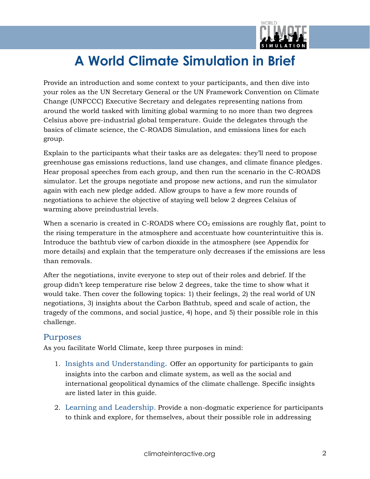

## **A World Climate Simulation in Brief**

Provide an introduction and some context to your participants, and then dive into your roles as the UN Secretary General or the UN Framework Convention on Climate Change (UNFCCC) Executive Secretary and delegates representing nations from around the world tasked with limiting global warming to no more than two degrees Celsius above pre-industrial global temperature. Guide the delegates through the basics of climate science, the C-ROADS Simulation, and emissions lines for each group.

Explain to the participants what their tasks are as delegates: they'll need to propose greenhouse gas emissions reductions, land use changes, and climate finance pledges. Hear proposal speeches from each group, and then run the scenario in the C-ROADS simulator. Let the groups negotiate and propose new actions, and run the simulator again with each new pledge added. Allow groups to have a few more rounds of negotiations to achieve the objective of staying well below 2 degrees Celsius of warming above preindustrial levels.

When a scenario is created in C-ROADS where  $CO<sub>2</sub>$  emissions are roughly flat, point to the rising temperature in the atmosphere and accentuate how counterintuitive this is. Introduce the bathtub view of carbon dioxide in the atmosphere (see Appendix for more details) and explain that the temperature only decreases if the emissions are less than removals.

After the negotiations, invite everyone to step out of their roles and debrief. If the group didn't keep temperature rise below 2 degrees, take the time to show what it would take. Then cover the following topics: 1) their feelings, 2) the real world of UN negotiations, 3) insights about the Carbon Bathtub, speed and scale of action, the tragedy of the commons, and social justice, 4) hope, and 5) their possible role in this challenge.

#### Purposes

As you facilitate World Climate, keep three purposes in mind:

- 1. Insights and Understanding. Offer an opportunity for participants to gain insights into the carbon and climate system, as well as the social and international geopolitical dynamics of the climate challenge. Specific insights are listed later in this guide.
- 2. Learning and Leadership. Provide a non-dogmatic experience for participants to think and explore, for themselves, about their possible role in addressing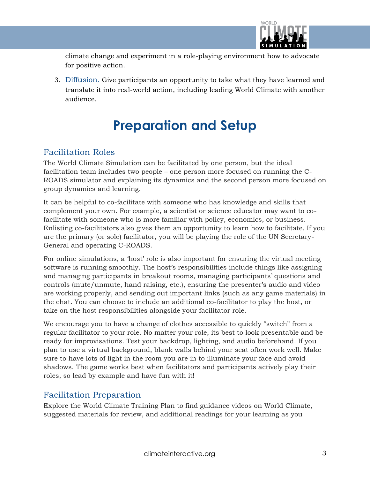

climate change and experiment in a role-playing environment how to advocate for positive action.

3. Diffusion. Give participants an opportunity to take what they have learned and translate it into real-world action, including leading World Climate with another audience.

## **Preparation and Setup**

### Facilitation Roles

The World Climate Simulation can be facilitated by one person, but the ideal facilitation team includes two people – one person more focused on running the C-ROADS simulator and explaining its dynamics and the second person more focused on group dynamics and learning.

It can be helpful to co-facilitate with someone who has knowledge and skills that complement your own. For example, a scientist or science educator may want to cofacilitate with someone who is more familiar with policy, economics, or business. Enlisting co-facilitators also gives them an opportunity to learn how to facilitate. If you are the primary (or sole) facilitator, you will be playing the role of the UN Secretary-General and operating C-ROADS.

For online simulations, a 'host' role is also important for ensuring the virtual meeting software is running smoothly. The host's responsibilities include things like assigning and managing participants in breakout rooms, managing participants' questions and controls (mute/unmute, hand raising, etc.), ensuring the presenter's audio and video are working properly, and sending out important links (such as any game materials) in the chat. You can choose to include an additional co-facilitator to play the host, or take on the host responsibilities alongside your facilitator role.

We encourage you to have a change of clothes accessible to quickly "switch" from a regular facilitator to your role. No matter your role, its best to look presentable and be ready for improvisations. Test your backdrop, lighting, and audio beforehand. If you plan to use a virtual background, blank walls behind your seat often work well. Make sure to have lots of light in the room you are in to illuminate your face and avoid shadows. The game works best when facilitators and participants actively play their roles, so lead by example and have fun with it!

## Facilitation Preparation

Explore the World Climate Training Plan to find guidance videos on World Climate, suggested materials for review, and additional readings for your learning as you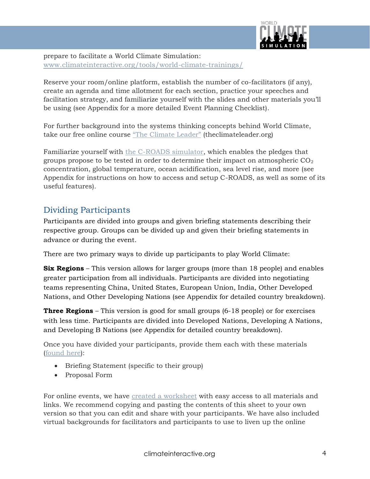

prepare to facilitate a World Climate Simulation: [www.climateinteractive.org/tools/world-climate-trainings/](http://www.climateinteractive.org/tools/world-climate-trainings/)

Reserve your room/online platform, establish the number of co-facilitators (if any), create an agenda and time allotment for each section, practice your speeches and facilitation strategy, and familiarize yourself with the slides and other materials you'll be using (see Appendix for a more detailed Event Planning Checklist).

For further background into the systems thinking concepts behind World Climate, take our free online course ["The Climate Leader"](http://theclimateleader.org/) (theclimateleader.org)

Familiarize yourself with [the C-ROADS simulator,](https://www.climateinteractive.org/tools/c-roads/) which enables the pledges that groups propose to be tested in order to determine their impact on atmospheric  $CO<sub>2</sub>$ concentration, global temperature, ocean acidification, sea level rise, and more (see Appendix for instructions on how to access and setup C-ROADS, as well as some of its useful features).

### Dividing Participants

Participants are divided into groups and given briefing statements describing their respective group. Groups can be divided up and given their briefing statements in advance or during the event.

There are two primary ways to divide up participants to play World Climate:

**Six Regions** – This version allows for larger groups (more than 18 people) and enables greater participation from all individuals. Participants are divided into negotiating teams representing China, United States, European Union, India, Other Developed Nations, and Other Developing Nations (see Appendix for detailed country breakdown).

**Three Regions** – This version is good for small groups (6-18 people) or for exercises with less time. Participants are divided into Developed Nations, Developing A Nations, and Developing B Nations (see Appendix for detailed country breakdown).

Once you have divided your participants, provide them each with these materials [\(found here\)](https://www.climateinteractive.org/programs/world-climate/facilitator-resources/):

- Briefing Statement (specific to their group)
- Proposal Form

For online events, we have [created a worksheet](https://docs.google.com/spreadsheets/d/1eLZXqMkSFcetsPwqdKLM4Jkvv-feAe8cOEtsYFWNaqo/edit?usp=sharing) with easy access to all materials and links. We recommend copying and pasting the contents of this sheet to your own version so that you can edit and share with your participants. We have also included virtual backgrounds for facilitators and participants to use to liven up the online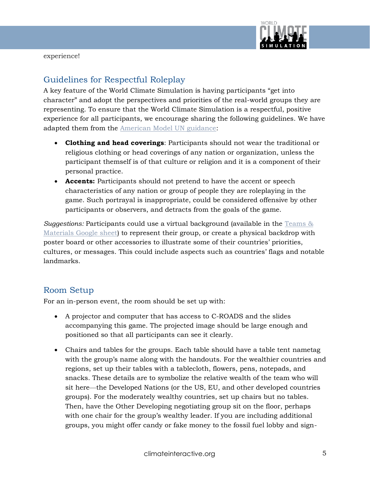

experience!

## Guidelines for Respectful Roleplay

A key feature of the World Climate Simulation is having participants "get into character" and adopt the perspectives and priorities of the real-world groups they are representing. To ensure that the World Climate Simulation is a respectful, positive experience for all participants, we encourage sharing the following guidelines. We have adapted them from the [American Model UN guidance:](https://www.amun.org/handbooks/2021/handbook/full/)

- **Clothing and head coverings**: Participants should not wear the traditional or religious clothing or head coverings of any nation or organization, unless the participant themself is of that culture or religion and it is a component of their personal practice.
- **Accents:** Participants should not pretend to have the accent or speech characteristics of any nation or group of people they are roleplaying in the game. Such portrayal is inappropriate, could be considered offensive by other participants or observers, and detracts from the goals of the game.

*Suggestions:* Participants could use a virtual background (available in the [Teams &](https://docs.google.com/spreadsheets/d/1eLZXqMkSFcetsPwqdKLM4Jkvv-feAe8cOEtsYFWNaqo/edit#gid=0)  [Materials Google sheet\)](https://docs.google.com/spreadsheets/d/1eLZXqMkSFcetsPwqdKLM4Jkvv-feAe8cOEtsYFWNaqo/edit#gid=0) to represent their group, or create a physical backdrop with poster board or other accessories to illustrate some of their countries' priorities, cultures, or messages. This could include aspects such as countries' flags and notable landmarks.

#### Room Setup

For an in-person event, the room should be set up with:

- A projector and computer that has access to C-ROADS and the slides accompanying this game. The projected image should be large enough and positioned so that all participants can see it clearly.
- Chairs and tables for the groups. Each table should have a table tent nametag with the group's name along with the handouts. For the wealthier countries and regions, set up their tables with a tablecloth, flowers, pens, notepads, and snacks. These details are to symbolize the relative wealth of the team who will sit here—the Developed Nations (or the US, EU, and other developed countries groups). For the moderately wealthy countries, set up chairs but no tables. Then, have the Other Developing negotiating group sit on the floor, perhaps with one chair for the group's wealthy leader. If you are including additional groups, you might offer candy or fake money to the fossil fuel lobby and sign-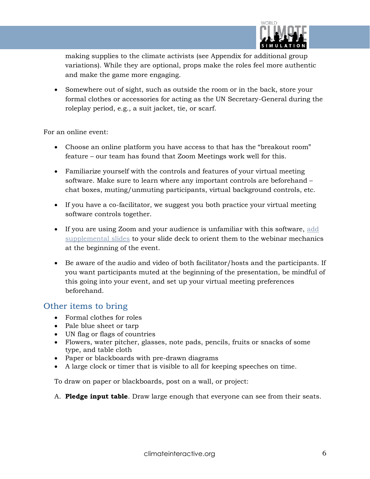

making supplies to the climate activists (see Appendix for additional group variations). While they are optional, props make the roles feel more authentic and make the game more engaging.

• Somewhere out of sight, such as outside the room or in the back, store your formal clothes or accessories for acting as the UN Secretary-General during the roleplay period, e.g., a suit jacket, tie, or scarf.

For an online event:

- Choose an online platform you have access to that has the "breakout room" feature – our team has found that Zoom Meetings work well for this.
- Familiarize yourself with the controls and features of your virtual meeting software. Make sure to learn where any important controls are beforehand – chat boxes, muting/unmuting participants, virtual background controls, etc.
- If you have a co-facilitator, we suggest you both practice your virtual meeting software controls together.
- If you are using Zoom and your audience is unfamiliar with this software, [add](https://img.climateinteractive.org/wp-content/uploads/2020/04/Zoom-Webinar-Mechanics-v1.pptx)  [supplemental slides](https://img.climateinteractive.org/wp-content/uploads/2020/04/Zoom-Webinar-Mechanics-v1.pptx) to your slide deck to orient them to the webinar mechanics at the beginning of the event.
- Be aware of the audio and video of both facilitator/hosts and the participants. If you want participants muted at the beginning of the presentation, be mindful of this going into your event, and set up your virtual meeting preferences beforehand.

#### Other items to bring

- Formal clothes for roles
- Pale blue sheet or tarp
- UN flag or flags of countries
- Flowers, water pitcher, glasses, note pads, pencils, fruits or snacks of some type, and table cloth
- Paper or blackboards with pre-drawn diagrams
- A large clock or timer that is visible to all for keeping speeches on time.

To draw on paper or blackboards, post on a wall, or project:

A. **Pledge input table**. Draw large enough that everyone can see from their seats.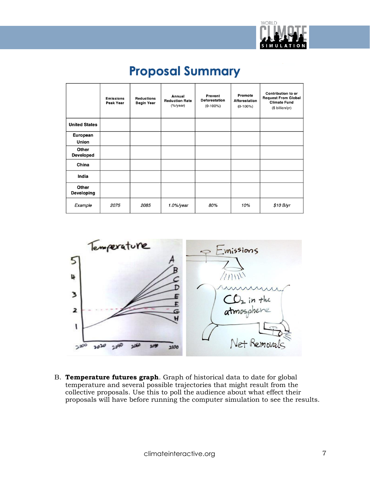

## **Proposal Summary**

|                           | <b>Emissions</b><br><b>Peak Year</b> | <b>Reductions</b><br>Begin Year | Annual<br><b>Reduction Rate</b><br>(% | <b>Prevent</b><br><b>Deforestation</b><br>$(0-100\%)$ | Promote<br><b>Afforestation</b><br>$(0-100\%)$ | <b>Contribution to or</b><br><b>Request From Global</b><br><b>Climate Fund</b><br>(\$ billion/yr) |
|---------------------------|--------------------------------------|---------------------------------|---------------------------------------|-------------------------------------------------------|------------------------------------------------|---------------------------------------------------------------------------------------------------|
| <b>United States</b>      |                                      |                                 |                                       |                                                       |                                                |                                                                                                   |
| European<br>Union         |                                      |                                 |                                       |                                                       |                                                |                                                                                                   |
| Other<br><b>Developed</b> |                                      |                                 |                                       |                                                       |                                                |                                                                                                   |
| China                     |                                      |                                 |                                       |                                                       |                                                |                                                                                                   |
| India                     |                                      |                                 |                                       |                                                       |                                                |                                                                                                   |
| Other<br>Developing       |                                      |                                 |                                       |                                                       |                                                |                                                                                                   |
| Example                   | 2075                                 | 2085                            | $1.0%$ /year                          | 80%                                                   | 10%                                            | \$10 B/yr                                                                                         |



B. **Temperature futures graph**. Graph of historical data to date for global temperature and several possible trajectories that might result from the collective proposals. Use this to poll the audience about what effect their proposals will have before running the computer simulation to see the results.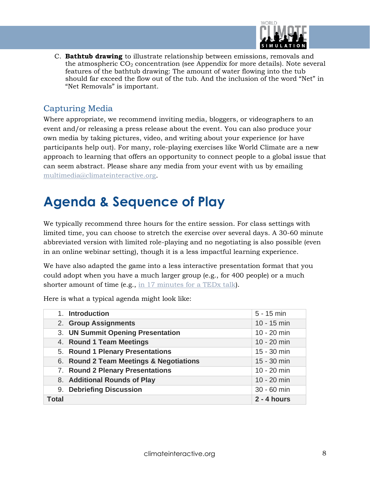

C. **Bathtub drawing** to illustrate relationship between emissions, removals and the atmospheric  $CO<sub>2</sub>$  concentration (see Appendix for more details). Note several features of the bathtub drawing: The amount of water flowing into the tub should far exceed the flow out of the tub. And the inclusion of the word "Net" in "Net Removals" is important.

#### Capturing Media

Where appropriate, we recommend inviting media, bloggers, or videographers to an event and/or releasing a press release about the event. You can also produce your own media by taking pictures, video, and writing about your experience (or have participants help out). For many, role-playing exercises like World Climate are a new approach to learning that offers an opportunity to connect people to a global issue that can seem abstract. Please share any media from your event with us by emailing [multimedia@climateinteractive.org.](mailto:multimedia@climateinteractive.org)

## **Agenda & Sequence of Play**

We typically recommend three hours for the entire session. For class settings with limited time, you can choose to stretch the exercise over several days. A 30-60 minute abbreviated version with limited role-playing and no negotiating is also possible (even in an online webinar setting), though it is a less impactful learning experience.

We have also adapted the game into a less interactive presentation format that you could adopt when you have a much larger group (e.g., for 400 people) or a much shorter amount of time (e.g., [in 17 minutes for a TEDx talk\)](https://www.climateinteractive.org/about/staff/drew-jones-2/tedx-asheville/).

Here is what a typical agenda might look like:

| 1. Introduction                         | $5 - 15$ min  |
|-----------------------------------------|---------------|
| 2. Group Assignments                    | $10 - 15$ min |
| 3. UN Summit Opening Presentation       | $10 - 20$ min |
| 4. Round 1 Team Meetings                | $10 - 20$ min |
| 5. Round 1 Plenary Presentations        | 15 - 30 min   |
| 6. Round 2 Team Meetings & Negotiations | $15 - 30$ min |
| 7. Round 2 Plenary Presentations        | $10 - 20$ min |
| 8. Additional Rounds of Play            | $10 - 20$ min |
| 9. Debriefing Discussion                | 30 - 60 min   |
| Total                                   | $2 - 4$ hours |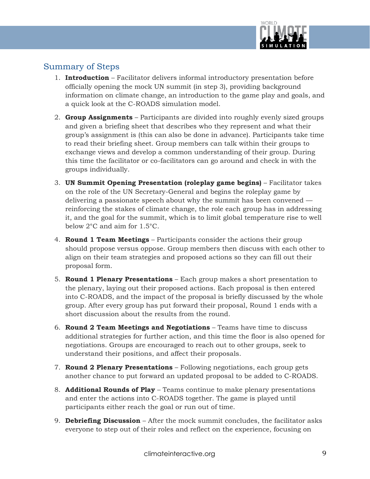

#### Summary of Steps

- 1. **Introduction** Facilitator delivers informal introductory presentation before officially opening the mock UN summit (in step 3), providing background information on climate change, an introduction to the game play and goals, and a quick look at the C-ROADS simulation model.
- 2. **Group Assignments** Participants are divided into roughly evenly sized groups and given a briefing sheet that describes who they represent and what their group's assignment is (this can also be done in advance). Participants take time to read their briefing sheet. Group members can talk within their groups to exchange views and develop a common understanding of their group. During this time the facilitator or co-facilitators can go around and check in with the groups individually.
- 3. **UN Summit Opening Presentation (roleplay game begins)** Facilitator takes on the role of the UN Secretary-General and begins the roleplay game by delivering a passionate speech about why the summit has been convened reinforcing the stakes of climate change, the role each group has in addressing it, and the goal for the summit, which is to limit global temperature rise to well below 2°C and aim for 1.5°C.
- 4. **Round 1 Team Meetings** Participants consider the actions their group should propose versus oppose. Group members then discuss with each other to align on their team strategies and proposed actions so they can fill out their proposal form.
- 5. **Round 1 Plenary Presentations** Each group makes a short presentation to the plenary, laying out their proposed actions. Each proposal is then entered into C-ROADS, and the impact of the proposal is briefly discussed by the whole group. After every group has put forward their proposal, Round 1 ends with a short discussion about the results from the round.
- 6. **Round 2 Team Meetings and Negotiations** Teams have time to discuss additional strategies for further action, and this time the floor is also opened for negotiations. Groups are encouraged to reach out to other groups, seek to understand their positions, and affect their proposals.
- 7. **Round 2 Plenary Presentations** Following negotiations, each group gets another chance to put forward an updated proposal to be added to C-ROADS.
- 8. **Additional Rounds of Play** Teams continue to make plenary presentations and enter the actions into C-ROADS together. The game is played until participants either reach the goal or run out of time.
- 9. **Debriefing Discussion** After the mock summit concludes, the facilitator asks everyone to step out of their roles and reflect on the experience, focusing on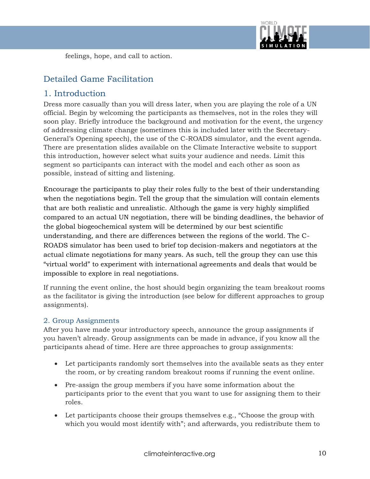

feelings, hope, and call to action.

## Detailed Game Facilitation

#### 1. Introduction

Dress more casually than you will dress later, when you are playing the role of a UN official. Begin by welcoming the participants as themselves, not in the roles they will soon play. Briefly introduce the background and motivation for the event, the urgency of addressing climate change (sometimes this is included later with the Secretary-General's Opening speech), the use of the C-ROADS simulator, and the event agenda. There are presentation slides available on the Climate Interactive website to support this introduction, however select what suits your audience and needs. Limit this segment so participants can interact with the model and each other as soon as possible, instead of sitting and listening.

Encourage the participants to play their roles fully to the best of their understanding when the negotiations begin. Tell the group that the simulation will contain elements that are both realistic and unrealistic. Although the game is very highly simplified compared to an actual UN negotiation, there will be binding deadlines, the behavior of the global biogeochemical system will be determined by our best scientific understanding, and there are differences between the regions of the world. The C-ROADS simulator has been used to brief top decision-makers and negotiators at the actual climate negotiations for many years. As such, tell the group they can use this "virtual world" to experiment with international agreements and deals that would be impossible to explore in real negotiations.

If running the event online, the host should begin organizing the team breakout rooms as the facilitator is giving the introduction (see below for different approaches to group assignments).

#### 2. Group Assignments

After you have made your introductory speech, announce the group assignments if you haven't already. Group assignments can be made in advance, if you know all the participants ahead of time. Here are three approaches to group assignments:

- Let participants randomly sort themselves into the available seats as they enter the room, or by creating random breakout rooms if running the event online.
- Pre-assign the group members if you have some information about the participants prior to the event that you want to use for assigning them to their roles.
- Let participants choose their groups themselves e.g., "Choose the group with which you would most identify with"; and afterwards, you redistribute them to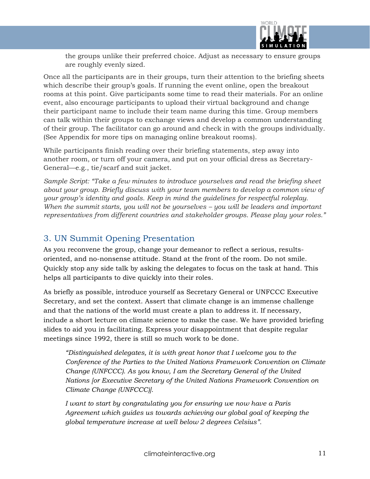

the groups unlike their preferred choice. Adjust as necessary to ensure groups are roughly evenly sized.

Once all the participants are in their groups, turn their attention to the briefing sheets which describe their group's goals. If running the event online, open the breakout rooms at this point. Give participants some time to read their materials. For an online event, also encourage participants to upload their virtual background and change their participant name to include their team name during this time. Group members can talk within their groups to exchange views and develop a common understanding of their group. The facilitator can go around and check in with the groups individually. (See Appendix for more tips on managing online breakout rooms).

While participants finish reading over their briefing statements, step away into another room, or turn off your camera, and put on your official dress as Secretary-General—e.g., tie/scarf and suit jacket.

*Sample Script: "Take a few minutes to introduce yourselves and read the briefing sheet about your group. Briefly discuss with your team members to develop a common view of your group's identity and goals. Keep in mind the guidelines for respectful roleplay.* When the summit starts, you will not be yourselves – you will be leaders and important *representatives from different countries and stakeholder groups. Please play your roles."*

#### 3. UN Summit Opening Presentation

As you reconvene the group, change your demeanor to reflect a serious, resultsoriented, and no-nonsense attitude. Stand at the front of the room. Do not smile. Quickly stop any side talk by asking the delegates to focus on the task at hand. This helps all participants to dive quickly into their roles.

As briefly as possible, introduce yourself as Secretary General or UNFCCC Executive Secretary, and set the context. Assert that climate change is an immense challenge and that the nations of the world must create a plan to address it. If necessary, include a short lecture on climate science to make the case. We have provided briefing slides to aid you in facilitating. Express your disappointment that despite regular meetings since 1992, there is still so much work to be done.

*"Distinguished delegates, it is with great honor that I welcome you to the Conference of the Parties to the United Nations Framework Convention on Climate Change (UNFCCC). As you know, I am the Secretary General of the United Nations [or Executive Secretary of the United Nations Framework Convention on Climate Change (UNFCCC)].*

*I want to start by congratulating you for ensuring we now have a Paris Agreement which guides us towards achieving our global goal of keeping the global temperature increase at well below 2 degrees Celsius".*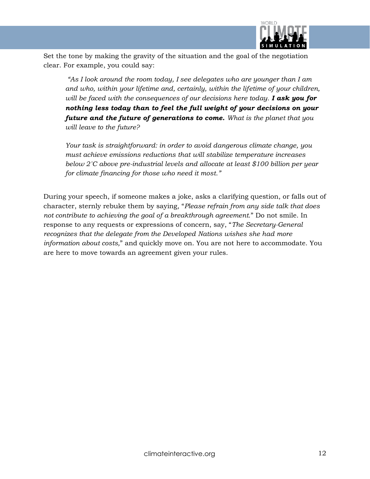

Set the tone by making the gravity of the situation and the goal of the negotiation clear. For example, you could say:

*"As I look around the room today, I see delegates who are younger than I am and who, within your lifetime and, certainly, within the lifetime of your children, will be faced with the consequences of our decisions here today. I ask you for nothing less today than to feel the full weight of your decisions on your future and the future of generations to come. What is the planet that you will leave to the future?*

*Your task is straightforward: in order to avoid dangerous climate change, you must achieve emissions reductions that will stabilize temperature increases below 2˚C above pre-industrial levels and allocate at least \$100 billion per year for climate financing for those who need it most."*

During your speech, if someone makes a joke, asks a clarifying question, or falls out of character, sternly rebuke them by saying, "*Please refrain from any side talk that does not contribute to achieving the goal of a breakthrough agreement.*" Do not smile. In response to any requests or expressions of concern, say, "*The Secretary-General recognizes that the delegate from the Developed Nations wishes she had more information about costs,*" and quickly move on. You are not here to accommodate. You are here to move towards an agreement given your rules.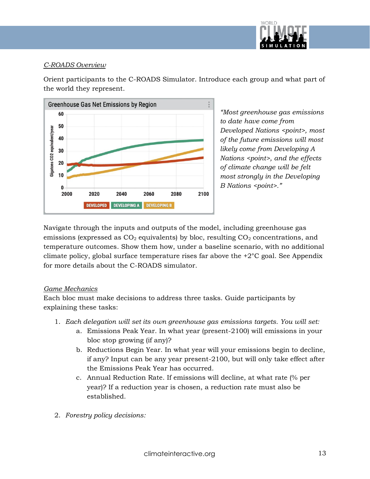

#### *C-ROADS Overview*

Orient participants to the C-ROADS Simulator. Introduce each group and what part of the world they represent.



*"Most greenhouse gas emissions to date have come from Developed Nations <point>, most of the future emissions will most likely come from Developing A Nations <point>, and the effects of climate change will be felt most strongly in the Developing B Nations <point>.* 

Navigate through the inputs and outputs of the model, including greenhouse gas emissions (expressed as  $CO<sub>2</sub>$  equivalents) by bloc, resulting  $CO<sub>2</sub>$  concentrations, and temperature outcomes. Show them how, under a baseline scenario, with no additional climate policy, global surface temperature rises far above the  $+2^{\circ}C$  goal. See Appendix for more details about the C-ROADS simulator.

#### *Game Mechanics*

Each bloc must make decisions to address three tasks. Guide participants by explaining these tasks:

- 1. *Each delegation will set its own greenhouse gas emissions targets. You will set:*
	- a. Emissions Peak Year. In what year (present-2100) will emissions in your bloc stop growing (if any)?
	- b. Reductions Begin Year. In what year will your emissions begin to decline, if any? Input can be any year present-2100, but will only take effect after the Emissions Peak Year has occurred.
	- c. Annual Reduction Rate. If emissions will decline, at what rate (% per year)? If a reduction year is chosen, a reduction rate must also be established.
- 2. *Forestry policy decisions:*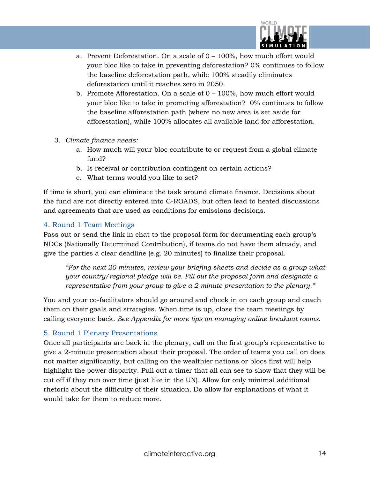

- a. Prevent Deforestation. On a scale of  $0 100\%$ , how much effort would your bloc like to take in preventing deforestation? 0% continues to follow the baseline deforestation path, while 100% steadily eliminates deforestation until it reaches zero in 2050.
- b. Promote Afforestation. On a scale of  $0 100\%$ , how much effort would your bloc like to take in promoting afforestation? 0% continues to follow the baseline afforestation path (where no new area is set aside for afforestation), while 100% allocates all available land for afforestation.
- 3. *Climate finance needs:* 
	- a. How much will your bloc contribute to or request from a global climate fund?
	- b. Is receival or contribution contingent on certain actions?
	- c. What terms would you like to set?

If time is short, you can eliminate the task around climate finance. Decisions about the fund are not directly entered into C-ROADS, but often lead to heated discussions and agreements that are used as conditions for emissions decisions.

#### 4. Round 1 Team Meetings

Pass out or send the link in chat to the proposal form for documenting each group's NDCs (Nationally Determined Contribution), if teams do not have them already, and give the parties a clear deadline (e.g. 20 minutes) to finalize their proposal.

*"For the next 20 minutes, review your briefing sheets and decide as a group what your country/regional pledge will be. Fill out the proposal form and designate a representative from your group to give a 2-minute presentation to the plenary."*

You and your co-facilitators should go around and check in on each group and coach them on their goals and strategies. When time is up, close the team meetings by calling everyone back. *See Appendix for more tips on managing online breakout rooms.* 

#### 5. Round 1 Plenary Presentations

Once all participants are back in the plenary, call on the first group's representative to give a 2-minute presentation about their proposal. The order of teams you call on does not matter significantly, but calling on the wealthier nations or blocs first will help highlight the power disparity. Pull out a timer that all can see to show that they will be cut off if they run over time (just like in the UN). Allow for only minimal additional rhetoric about the difficulty of their situation. Do allow for explanations of what it would take for them to reduce more.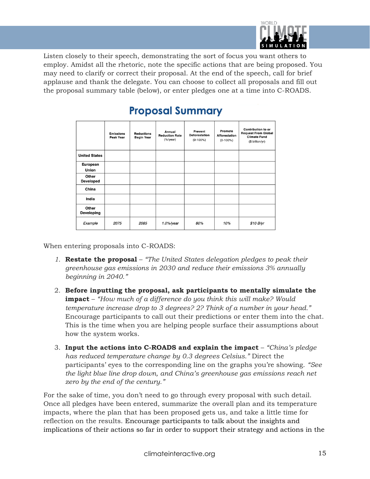

Listen closely to their speech, demonstrating the sort of focus you want others to employ. Amidst all the rhetoric, note the specific actions that are being proposed. You may need to clarify or correct their proposal. At the end of the speech, call for brief applause and thank the delegate. You can choose to collect all proposals and fill out the proposal summary table (below), or enter pledges one at a time into C-ROADS.

|                           | <b>Emissions</b><br><b>Peak Year</b> | <b>Reductions</b><br><b>Begin Year</b> | Annual<br><b>Reduction Rate</b><br>(% | Prevent<br><b>Deforestation</b><br>$(0-100\%)$ | Promote<br><b>Afforestation</b><br>$(0-100\%)$ | <b>Contribution to or</b><br><b>Request From Global</b><br><b>Climate Fund</b><br>(\$ billion/yr) |
|---------------------------|--------------------------------------|----------------------------------------|---------------------------------------|------------------------------------------------|------------------------------------------------|---------------------------------------------------------------------------------------------------|
| <b>United States</b>      |                                      |                                        |                                       |                                                |                                                |                                                                                                   |
| European<br><b>Union</b>  |                                      |                                        |                                       |                                                |                                                |                                                                                                   |
| Other<br><b>Developed</b> |                                      |                                        |                                       |                                                |                                                |                                                                                                   |
| China                     |                                      |                                        |                                       |                                                |                                                |                                                                                                   |
| India                     |                                      |                                        |                                       |                                                |                                                |                                                                                                   |
| Other<br>Developing       |                                      |                                        |                                       |                                                |                                                |                                                                                                   |
| Example                   | 2075                                 | 2085                                   | $1.0\%$ /year                         | 80%                                            | 10%                                            | \$10 B/yr                                                                                         |

## **Proposal Summary**

When entering proposals into C-ROADS:

- *1.* **Restate the proposal** *"The United States delegation pledges to peak their greenhouse gas emissions in 2030 and reduce their emissions 3% annually beginning in 2040."*
- 2. **Before inputting the proposal, ask participants to mentally simulate the impact** – *"How much of a difference do you think this will make? Would temperature increase drop to 3 degrees? 2? Think of a number in your head."* Encourage participants to call out their predictions or enter them into the chat. This is the time when you are helping people surface their assumptions about how the system works.
- 3. **Input the actions into C-ROADS and explain the impact** *"China's pledge has reduced temperature change by 0.3 degrees Celsius."* Direct the participants' eyes to the corresponding line on the graphs you're showing. *"See the light blue line drop down, and China's greenhouse gas emissions reach net zero by the end of the century."*

For the sake of time, you don't need to go through every proposal with such detail. Once all pledges have been entered, summarize the overall plan and its temperature impacts, where the plan that has been proposed gets us, and take a little time for reflection on the results. Encourage participants to talk about the insights and implications of their actions so far in order to support their strategy and actions in the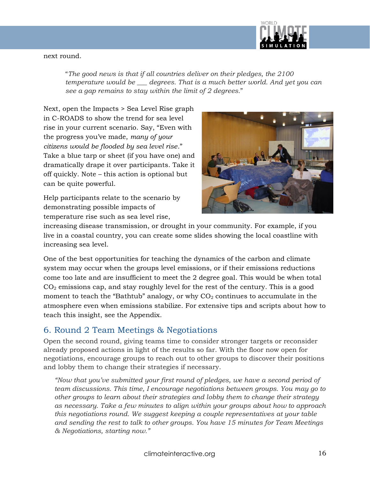

#### next round.

"*The good news is that if all countries deliver on their pledges, the 2100 temperature would be \_\_\_ degrees. That is a much better world. And yet you can see a gap remains to stay within the limit of 2 degrees.*"

Next, open the Impacts > Sea Level Rise graph in C-ROADS to show the trend for sea level rise in your current scenario. Say, "Even with the progress you've made, *many of your citizens would be flooded by sea level rise*." Take a blue tarp or sheet (if you have one) and dramatically drape it over participants. Take it off quickly. Note – this action is optional but can be quite powerful.

Help participants relate to the scenario by demonstrating possible impacts of temperature rise such as sea level rise,



increasing disease transmission, or drought in your community. For example, if you live in a coastal country, you can create some slides showing the local coastline with increasing sea level.

One of the best opportunities for teaching the dynamics of the carbon and climate system may occur when the groups level emissions, or if their emissions reductions come too late and are insufficient to meet the 2 degree goal. This would be when total  $CO<sub>2</sub>$  emissions cap, and stay roughly level for the rest of the century. This is a good moment to teach the "Bathtub" analogy, or why  $CO<sub>2</sub>$  continues to accumulate in the atmosphere even when emissions stabilize. For extensive tips and scripts about how to teach this insight, see the Appendix.

#### 6. Round 2 Team Meetings & Negotiations

Open the second round, giving teams time to consider stronger targets or reconsider already proposed actions in light of the results so far. With the floor now open for negotiations, encourage groups to reach out to other groups to discover their positions and lobby them to change their strategies if necessary.

*"Now that you've submitted your first round of pledges, we have a second period of team discussions. This time, I encourage negotiations between groups. You may go to other groups to learn about their strategies and lobby them to change their strategy as necessary. Take a few minutes to align within your groups about how to approach this negotiations round. We suggest keeping a couple representatives at your table and sending the rest to talk to other groups. You have 15 minutes for Team Meetings & Negotiations, starting now."*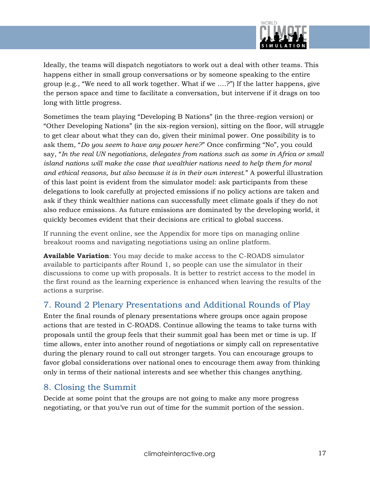

Ideally, the teams will dispatch negotiators to work out a deal with other teams. This happens either in small group conversations or by someone speaking to the entire group (e.g., "We need to all work together. What if we ….?") If the latter happens, give the person space and time to facilitate a conversation, but intervene if it drags on too long with little progress.

Sometimes the team playing "Developing B Nations" (in the three-region version) or "Other Developing Nations" (in the six-region version), sitting on the floor, will struggle to get clear about what they can do, given their minimal power. One possibility is to ask them, "*Do you seem to have any power here?*" Once confirming "No", you could say, "*In the real UN negotiations, delegates from nations such as some in Africa or small island nations will make the case that wealthier nations need to help them for moral and ethical reasons, but also because it is in their own interest.*" A powerful illustration of this last point is evident from the simulator model: ask participants from these delegations to look carefully at projected emissions if no policy actions are taken and ask if they think wealthier nations can successfully meet climate goals if they do not also reduce emissions. As future emissions are dominated by the developing world, it quickly becomes evident that their decisions are critical to global success.

If running the event online, see the Appendix for more tips on managing online breakout rooms and navigating negotiations using an online platform.

**Available Variation**: You may decide to make access to the C-ROADS simulator available to participants after Round 1, so people can use the simulator in their discussions to come up with proposals. It is better to restrict access to the model in the first round as the learning experience is enhanced when leaving the results of the actions a surprise.

## 7. Round 2 Plenary Presentations and Additional Rounds of Play

Enter the final rounds of plenary presentations where groups once again propose actions that are tested in C-ROADS. Continue allowing the teams to take turns with proposals until the group feels that their summit goal has been met or time is up. If time allows, enter into another round of negotiations or simply call on representative during the plenary round to call out stronger targets. You can encourage groups to favor global considerations over national ones to encourage them away from thinking only in terms of their national interests and see whether this changes anything.

## 8. Closing the Summit

Decide at some point that the groups are not going to make any more progress negotiating, or that you've run out of time for the summit portion of the session.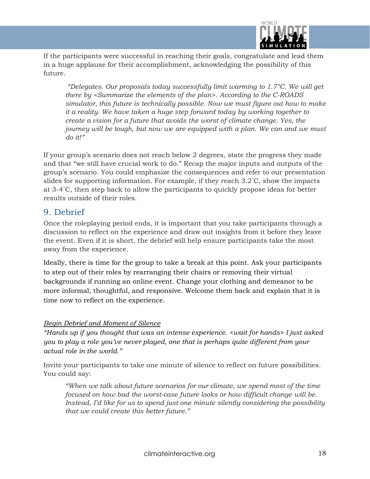

If the participants were successful in reaching their goals, congratulate and lead them in a huge applause for their accomplishment, acknowledging the possibility of this future.

*"Delegates. Our proposals today successfully limit warming to 1.7°C. We will get there by <Summarize the elements of the plan>. According to the C-ROADS simulator, this future is technically possible. Now we must figure out how to make it a reality. We have taken a huge step forward today by working together to create a vision for a future that avoids the worst of climate change. Yes, the journey will be tough, but now we are equipped with a plan. We can and we must do it!"*

If your group's scenario does not reach below 2 degrees, state the progress they made and that "we still have crucial work to do." Recap the major inputs and outputs of the group's scenario. You could emphasize the consequences and refer to our presentation slides for supporting information. For example, if they reach 3.2˚C, show the impacts at 3-4˚C, then step back to allow the participants to quickly propose ideas for better results outside of their roles.

#### 9. Debrief

Once the roleplaying period ends, it is important that you take participants through a discussion to reflect on the experience and draw out insights from it before they leave the event. Even if it is short, the debrief will help ensure participants take the most away from the experience.

Ideally, there is time for the group to take a break at this point. Ask your participants to step out of their roles by rearranging their chairs or removing their virtual backgrounds if running an online event. Change your clothing and demeanor to be more informal, thoughtful, and responsive. Welcome them back and explain that it is time now to reflect on the experience.

#### *Begin Debrief and Moment of Silence*

*"Hands up if you thought that was an intense experience. <wait for hands> I just asked you to play a role you've never played, one that is perhaps quite different from your actual role in the world."*

Invite your participants to take one minute of silence to reflect on future possibilities. You could say:

*"When we talk about future scenarios for our climate, we spend most of the time focused on how bad the worst-case future looks or how difficult change will be. Instead, I'd like for us to spend just one minute silently considering the possibility that we could create this better future."*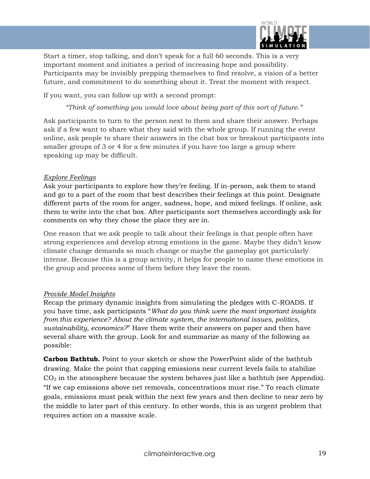

Start a timer, stop talking, and don't speak for a full 60 seconds. This is a very important moment and initiates a period of increasing hope and possibility. Participants may be invisibly prepping themselves to find resolve, a vision of a better future, and commitment to do something about it. Treat the moment with respect.

If you want, you can follow up with a second prompt:

*"Think of something you would love about being part of this sort of future."* 

Ask participants to turn to the person next to them and share their answer. Perhaps ask if a few want to share what they said with the whole group. If running the event online, ask people to share their answers in the chat box or breakout participants into smaller groups of 3 or 4 for a few minutes if you have too large a group where speaking up may be difficult.

#### *Explore Feelings*

Ask your participants to explore how they're feeling. If in-person, ask them to stand and go to a part of the room that best describes their feelings at this point. Designate different parts of the room for anger, sadness, hope, and mixed feelings. If online, ask them to write into the chat box. After participants sort themselves accordingly ask for comments on why they chose the place they are in.

One reason that we ask people to talk about their feelings is that people often have strong experiences and develop strong emotions in the game. Maybe they didn't know climate change demands so much change or maybe the gameplay got particularly intense. Because this is a group activity, it helps for people to name these emotions in the group and process some of them before they leave the room.

#### *Provide Model Insights*

Recap the primary dynamic insights from simulating the pledges with C-ROADS. If you have time, ask participants "*What do you think were the most important insights from this experience? About the climate system, the international issues, politics, sustainability, economics?*" Have them write their answers on paper and then have several share with the group. Look for and summarize as many of the following as possible:

**Carbon Bathtub.** Point to your sketch or show the PowerPoint slide of the bathtub drawing. Make the point that capping emissions near current levels fails to stabilize  $CO<sub>2</sub>$  in the atmosphere because the system behaves just like a bathtub (see Appendix). "If we cap emissions above net removals, concentrations must rise." To reach climate goals, emissions must peak within the next few years and then decline to near zero by the middle to later part of this century. In other words, this is an urgent problem that requires action on a massive scale.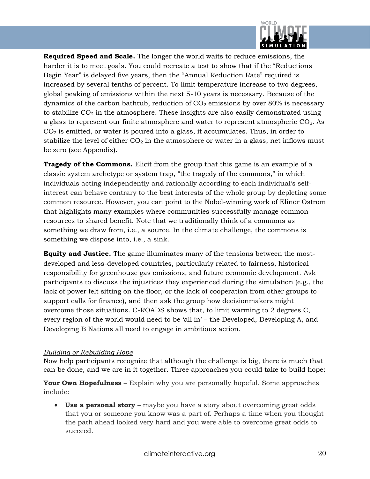

**Required Speed and Scale.** The longer the world waits to reduce emissions, the harder it is to meet goals. You could recreate a test to show that if the "Reductions Begin Year" is delayed five years, then the "Annual Reduction Rate" required is increased by several tenths of percent. To limit temperature increase to two degrees, global peaking of emissions within the next 5-10 years is necessary. Because of the dynamics of the carbon bathtub, reduction of  $CO<sub>2</sub>$  emissions by over 80% is necessary to stabilize  $CO<sub>2</sub>$  in the atmosphere. These insights are also easily demonstrated using a glass to represent our finite atmosphere and water to represent atmospheric CO2. As  $CO<sub>2</sub>$  is emitted, or water is poured into a glass, it accumulates. Thus, in order to stabilize the level of either  $CO<sub>2</sub>$  in the atmosphere or water in a glass, net inflows must be zero (see Appendix).

**Tragedy of the Commons.** Elicit from the group that this game is an example of a classic system archetype or system trap, "the tragedy of the commons," in which individuals acting independently and rationally according to each individual's selfinterest can behave contrary to the best interests of the whole group by depleting some common resource. However, you can point to the Nobel-winning work of Elinor Ostrom that highlights many examples where communities successfully manage common resources to shared benefit. Note that we traditionally think of a commons as something we draw from, i.e., a source. In the climate challenge, the commons is something we dispose into, i.e., a sink.

**Equity and Justice.** The game illuminates many of the tensions between the mostdeveloped and less-developed countries, particularly related to fairness, historical responsibility for greenhouse gas emissions, and future economic development. Ask participants to discuss the injustices they experienced during the simulation (e.g., the lack of power felt sitting on the floor, or the lack of cooperation from other groups to support calls for finance), and then ask the group how decisionmakers might overcome those situations. C-ROADS shows that, to limit warming to 2 degrees C, every region of the world would need to be 'all in' – the Developed, Developing A, and Developing B Nations all need to engage in ambitious action.

#### *Building or Rebuilding Hope*

Now help participants recognize that although the challenge is big, there is much that can be done, and we are in it together. Three approaches you could take to build hope:

**Your Own Hopefulness** – Explain why you are personally hopeful. Some approaches include:

• **Use a personal story** – maybe you have a story about overcoming great odds that you or someone you know was a part of. Perhaps a time when you thought the path ahead looked very hard and you were able to overcome great odds to succeed.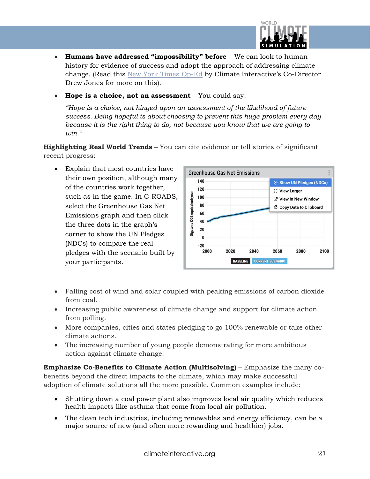

- **Humans have addressed "impossibility" before** We can look to human history for evidence of success and adopt the approach of addressing climate change. (Read this [New York Times Op-Ed](https://www.nytimes.com/2018/10/06/opinion/sunday/climate-change-global-warming.html) by Climate Interactive's Co-Director Drew Jones for more on this).
- **Hope is a choice, not an assessment** You could say:

*"Hope is a choice, not hinged upon an assessment of the likelihood of future success. Being hopeful is about choosing to prevent this huge problem every day because it is the right thing to do, not because you know that we are going to win."*

**Highlighting Real World Trends** – You can cite evidence or tell stories of significant recent progress:

• Explain that most countries have their own position, although many of the countries work together, such as in the game. In C-ROADS, select the Greenhouse Gas Net Emissions graph and then click the three dots in the graph's corner to show the UN Pledges (NDCs) to compare the real pledges with the scenario built by your participants.



- Falling cost of wind and solar coupled with peaking emissions of carbon dioxide from coal.
- Increasing public awareness of climate change and support for climate action from polling.
- More companies, cities and states pledging to go 100% renewable or take other climate actions.
- The increasing number of young people demonstrating for more ambitious action against climate change.

**Emphasize Co-Benefits to Climate Action (Multisolving)** – Emphasize the many cobenefits beyond the direct impacts to the climate, which may make successful adoption of climate solutions all the more possible. Common examples include:

- Shutting down a coal power plant also improves local air quality which reduces health impacts like asthma that come from local air pollution.
- The clean tech industries, including renewables and energy efficiency, can be a major source of new (and often more rewarding and healthier) jobs.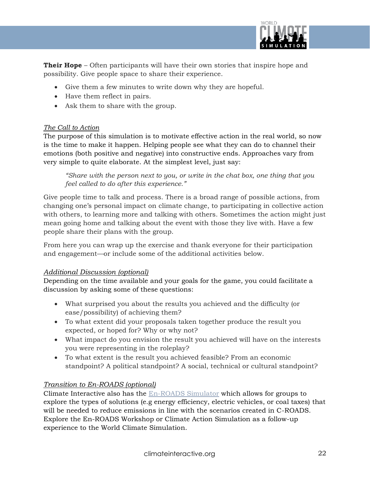

**Their Hope** – Often participants will have their own stories that inspire hope and possibility. Give people space to share their experience.

- Give them a few minutes to write down why they are hopeful.
- Have them reflect in pairs.
- Ask them to share with the group.

#### *The Call to Action*

The purpose of this simulation is to motivate effective action in the real world, so now is the time to make it happen. Helping people see what they can do to channel their emotions (both positive and negative) into constructive ends. Approaches vary from very simple to quite elaborate. At the simplest level, just say:

*"Share with the person next to you, or write in the chat box, one thing that you feel called to do after this experience."* 

Give people time to talk and process. There is a broad range of possible actions, from changing one's personal impact on climate change, to participating in collective action with others, to learning more and talking with others. Sometimes the action might just mean going home and talking about the event with those they live with. Have a few people share their plans with the group.

From here you can wrap up the exercise and thank everyone for their participation and engagement—or include some of the additional activities below.

#### *Additional Discussion (optional)*

Depending on the time available and your goals for the game, you could facilitate a discussion by asking some of these questions:

- What surprised you about the results you achieved and the difficulty (or ease/possibility) of achieving them?
- To what extent did your proposals taken together produce the result you expected, or hoped for? Why or why not?
- What impact do you envision the result you achieved will have on the interests you were representing in the roleplay?
- To what extent is the result you achieved feasible? From an economic standpoint? A political standpoint? A social, technical or cultural standpoint?

#### *Transition to En-ROADS (optional)*

Climate Interactive also has the [En-ROADS Simulator](https://www.climateinteractive.org/en-roads/) which allows for groups to explore the types of solutions (e.g energy efficiency, electric vehicles, or coal taxes) that will be needed to reduce emissions in line with the scenarios created in C-ROADS. Explore the En-ROADS Workshop or Climate Action Simulation as a follow-up experience to the World Climate Simulation.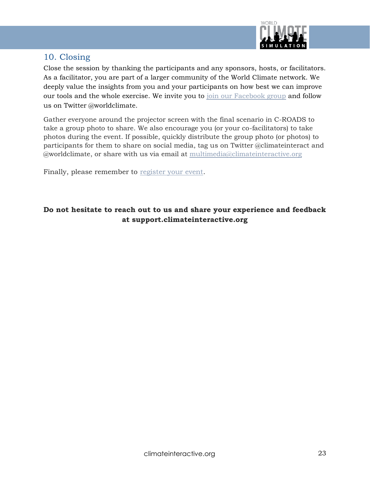

## 10. Closing

Close the session by thanking the participants and any sponsors, hosts, or facilitators. As a facilitator, you are part of a larger community of the World Climate network. We deeply value the insights from you and your participants on how best we can improve our tools and the whole exercise. We invite you to [join our Facebook group](https://www.facebook.com/groups/worldclimateproject) and follow us on Twitter @worldclimate.

Gather everyone around the projector screen with the final scenario in C-ROADS to take a group photo to share. We also encourage you (or your co-facilitators) to take photos during the event. If possible, quickly distribute the group photo (or photos) to participants for them to share on social media, tag us on Twitter @climateinteract and @worldclimate, or share with us via email at [multimedia@climateinteractive.org](mailto:multimedia@climateinteractive.org)

Finally, please remember to [register your event.](https://www.climateinteractive.org/programs/world-climate/register-event/)

#### **Do not hesitate to reach out to us and share your experience and feedback at support.climateinteractive.org**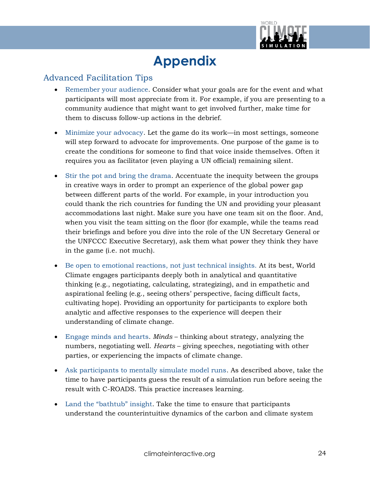

## **Appendix**

#### Advanced Facilitation Tips

- Remember your audience. Consider what your goals are for the event and what participants will most appreciate from it. For example, if you are presenting to a community audience that might want to get involved further, make time for them to discuss follow-up actions in the debrief.
- Minimize your advocacy. Let the game do its work—in most settings, someone will step forward to advocate for improvements. One purpose of the game is to create the conditions for someone to find that voice inside themselves. Often it requires you as facilitator (even playing a UN official) remaining silent.
- Stir the pot and bring the drama. Accentuate the inequity between the groups in creative ways in order to prompt an experience of the global power gap between different parts of the world. For example, in your introduction you could thank the rich countries for funding the UN and providing your pleasant accommodations last night. Make sure you have one team sit on the floor. And, when you visit the team sitting on the floor (for example, while the teams read their briefings and before you dive into the role of the UN Secretary General or the UNFCCC Executive Secretary), ask them what power they think they have in the game (i.e. not much).
- Be open to emotional reactions, not just technical insights. At its best, World Climate engages participants deeply both in analytical and quantitative thinking (e.g., negotiating, calculating, strategizing), and in empathetic and aspirational feeling (e.g., seeing others' perspective, facing difficult facts, cultivating hope). Providing an opportunity for participants to explore both analytic and affective responses to the experience will deepen their understanding of climate change.
- Engage minds and hearts. *Minds* thinking about strategy, analyzing the numbers, negotiating well. *Hearts* – giving speeches, negotiating with other parties, or experiencing the impacts of climate change.
- Ask participants to mentally simulate model runs. As described above, take the time to have participants guess the result of a simulation run before seeing the result with C-ROADS. This practice increases learning.
- Land the "bathtub" insight. Take the time to ensure that participants understand the counterintuitive dynamics of the carbon and climate system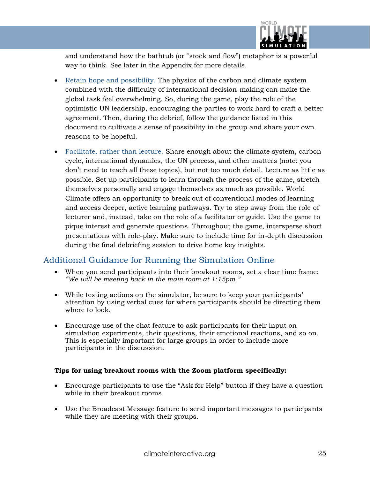

and understand how the bathtub (or "stock and flow") metaphor is a powerful way to think. See later in the Appendix for more details.

- Retain hope and possibility. The physics of the carbon and climate system combined with the difficulty of international decision-making can make the global task feel overwhelming. So, during the game, play the role of the optimistic UN leadership, encouraging the parties to work hard to craft a better agreement. Then, during the debrief, follow the guidance listed in this document to cultivate a sense of possibility in the group and share your own reasons to be hopeful.
- Facilitate, rather than lecture. Share enough about the climate system, carbon cycle, international dynamics, the UN process, and other matters (note: you don't need to teach all these topics), but not too much detail. Lecture as little as possible. Set up participants to learn through the process of the game, stretch themselves personally and engage themselves as much as possible. World Climate offers an opportunity to break out of conventional modes of learning and access deeper, active learning pathways. Try to step away from the role of lecturer and, instead, take on the role of a facilitator or guide. Use the game to pique interest and generate questions. Throughout the game, intersperse short presentations with role-play. Make sure to include time for in-depth discussion during the final debriefing session to drive home key insights.

#### Additional Guidance for Running the Simulation Online

- When you send participants into their breakout rooms, set a clear time frame: *"We will be meeting back in the main room at 1:15pm."*
- While testing actions on the simulator, be sure to keep your participants' attention by using verbal cues for where participants should be directing them where to look.
- Encourage use of the chat feature to ask participants for their input on simulation experiments, their questions, their emotional reactions, and so on. This is especially important for large groups in order to include more participants in the discussion.

#### **Tips for using breakout rooms with the Zoom platform specifically:**

- Encourage participants to use the "Ask for Help" button if they have a question while in their breakout rooms.
- Use the Broadcast Message feature to send important messages to participants while they are meeting with their groups.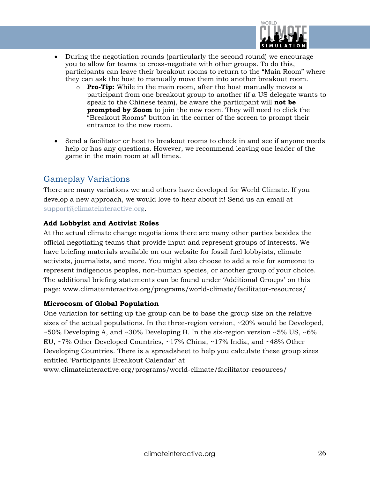

- During the negotiation rounds (particularly the second round) we encourage you to allow for teams to cross-negotiate with other groups. To do this, participants can leave their breakout rooms to return to the "Main Room" where they can ask the host to manually move them into another breakout room.
	- o **Pro-Tip:** While in the main room, after the host manually moves a participant from one breakout group to another (if a US delegate wants to speak to the Chinese team), be aware the participant will **not be prompted by Zoom** to join the new room. They will need to click the "Breakout Rooms" button in the corner of the screen to prompt their entrance to the new room.
- Send a facilitator or host to breakout rooms to check in and see if anyone needs help or has any questions. However, we recommend leaving one leader of the game in the main room at all times.

## Gameplay Variations

There are many variations we and others have developed for World Climate. If you develop a new approach, we would love to hear about it! Send us an email at [support@climateinteractive.org.](mailto:support@climateinteractive.org)

#### **Add Lobbyist and Activist Roles**

At the actual climate change negotiations there are many other parties besides the official negotiating teams that provide input and represent groups of interests. We have briefing materials available on our website for fossil fuel lobbyists, climate activists, journalists, and more. You might also choose to add a role for someone to represent indigenous peoples, non-human species, or another group of your choice. The additional briefing statements can be found under 'Additional Groups' on this page: www.climateinteractive.org/programs/world-climate/facilitator-resources/

#### **Microcosm of Global Population**

One variation for setting up the group can be to base the group size on the relative sizes of the actual populations. In the three-region version, ~20% would be Developed, ~50% Developing A, and ~30% Developing B. In the six-region version ~5% US, ~6% EU, ~7% Other Developed Countries, ~17% China, ~17% India, and ~48% Other Developing Countries. There is a spreadsheet to help you calculate these group sizes entitled 'Participants Breakout Calendar' at

www.climateinteractive.org/programs/world-climate/facilitator-resources/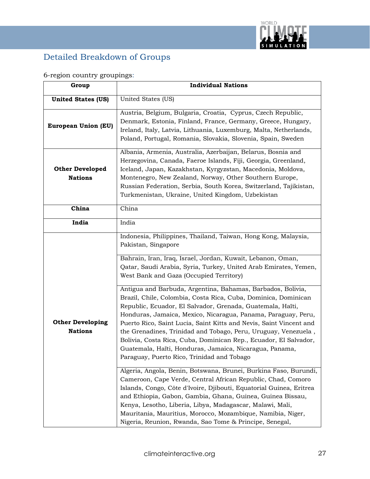

## Detailed Breakdown of Groups

## 6-region country groupings:

| Group                                     | <b>Individual Nations</b>                                                                                                                                                                                                                                                                                                                                                                                                                                                                                                                                                                                                                                                                                                                                                                                                                                |
|-------------------------------------------|----------------------------------------------------------------------------------------------------------------------------------------------------------------------------------------------------------------------------------------------------------------------------------------------------------------------------------------------------------------------------------------------------------------------------------------------------------------------------------------------------------------------------------------------------------------------------------------------------------------------------------------------------------------------------------------------------------------------------------------------------------------------------------------------------------------------------------------------------------|
| <b>United States (US)</b>                 | United States (US)                                                                                                                                                                                                                                                                                                                                                                                                                                                                                                                                                                                                                                                                                                                                                                                                                                       |
| <b>European Union (EU)</b>                | Austria, Belgium, Bulgaria, Croatia, Cyprus, Czech Republic,<br>Denmark, Estonia, Finland, France, Germany, Greece, Hungary,<br>Ireland, Italy, Latvia, Lithuania, Luxemburg, Malta, Netherlands,<br>Poland, Portugal, Romania, Slovakia, Slovenia, Spain, Sweden                                                                                                                                                                                                                                                                                                                                                                                                                                                                                                                                                                                        |
| <b>Other Developed</b><br><b>Nations</b>  | Albania, Armenia, Australia, Azerbaijan, Belarus, Bosnia and<br>Herzegovina, Canada, Faeroe Islands, Fiji, Georgia, Greenland,<br>Iceland, Japan, Kazakhstan, Kyrgyzstan, Macedonia, Moldova,<br>Montenegro, New Zealand, Norway, Other Southern Europe,<br>Russian Federation, Serbia, South Korea, Switzerland, Tajikistan,<br>Turkmenistan, Ukraine, United Kingdom, Uzbekistan                                                                                                                                                                                                                                                                                                                                                                                                                                                                       |
| China                                     | China                                                                                                                                                                                                                                                                                                                                                                                                                                                                                                                                                                                                                                                                                                                                                                                                                                                    |
| India                                     | India                                                                                                                                                                                                                                                                                                                                                                                                                                                                                                                                                                                                                                                                                                                                                                                                                                                    |
| <b>Other Developing</b><br><b>Nations</b> | Indonesia, Philippines, Thailand, Taiwan, Hong Kong, Malaysia,<br>Pakistan, Singapore<br>Bahrain, Iran, Iraq, Israel, Jordan, Kuwait, Lebanon, Oman,<br>Qatar, Saudi Arabia, Syria, Turkey, United Arab Emirates, Yemen,<br>West Bank and Gaza (Occupied Territory)<br>Antigua and Barbuda, Argentina, Bahamas, Barbados, Bolivia,<br>Brazil, Chile, Colombia, Costa Rica, Cuba, Dominica, Dominican<br>Republic, Ecuador, El Salvador, Grenada, Guatemala, Haïti,<br>Honduras, Jamaica, Mexico, Nicaragua, Panama, Paraguay, Peru,<br>Puerto Rico, Saint Lucia, Saint Kitts and Nevis, Saint Vincent and<br>the Grenadines, Trinidad and Tobago, Peru, Uruguay, Venezuela,<br>Bolivia, Costa Rica, Cuba, Dominican Rep., Ecuador, El Salvador,<br>Guatemala, Haïti, Honduras, Jamaica, Nicaragua, Panama,<br>Paraguay, Puerto Rico, Trinidad and Tobago |
|                                           | Algeria, Angola, Benin, Botswana, Brunei, Burkina Faso, Burundi,<br>Cameroon, Cape Verde, Central African Republic, Chad, Comoro<br>Islands, Congo, Côte d'Ivoire, Djibouti, Equatorial Guinea, Eritrea<br>and Ethiopia, Gabon, Gambia, Ghana, Guinea, Guinea Bissau,<br>Kenya, Lesotho, Liberia, Libya, Madagascar, Malawi, Mali,<br>Mauritania, Mauritius, Morocco, Mozambique, Namibia, Niger,<br>Nigeria, Reunion, Rwanda, Sao Tome & Principe, Senegal,                                                                                                                                                                                                                                                                                                                                                                                             |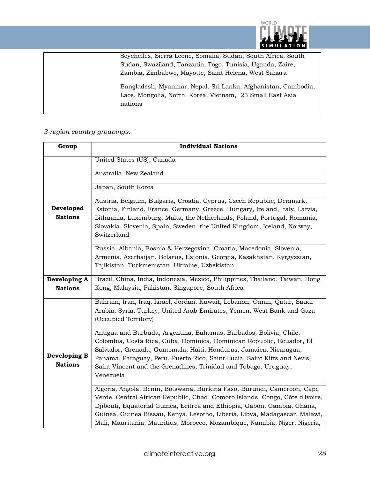

| Seychelles, Sierra Leone, Somalia, Sudan, South Africa, South |
|---------------------------------------------------------------|
| Sudan, Swaziland, Tanzania, Togo, Tunisia, Uganda, Zaire,     |
| Zambia, Zimbabwe, Mayotte, Saint Helena, West Sahara          |
| Bangladesh, Myanmar, Nepal, Sri Lanka, Afghanistan, Cambodia, |
| Laos, Mongolia, North. Korea, Vietnam, 23 Small East Asia     |
| nations                                                       |
|                                                               |

## *3-region country groupings:*

| Group          | <b>Individual Nations</b>                                                    |
|----------------|------------------------------------------------------------------------------|
|                | United States (US), Canada                                                   |
|                | Australia, New Zealand                                                       |
|                | Japan, South Korea                                                           |
|                | Austria, Belgium, Bulgaria, Croatia, Cyprus, Czech Republic, Denmark,        |
| Developed      | Estonia, Finland, France, Germany, Greece, Hungary, Ireland, Italy, Latvia,  |
| <b>Nations</b> | Lithuania, Luxemburg, Malta, the Netherlands, Poland, Portugal, Romania,     |
|                | Slovakia, Slovenia, Spain, Sweden, the United Kingdom, Iceland, Norway,      |
|                | Switzerland                                                                  |
|                | Russia, Albania, Bosnia & Herzegovina, Croatia, Macedonia, Slovenia,         |
|                | Armenia, Azerbaijan, Belarus, Estonia, Georgia, Kazakhstan, Kyrgyzstan,      |
|                | Tajikistan, Turkmenistan, Ukraine, Uzbekistan                                |
| Developing A   | Brazil, China, India, Indonesia, Mexico, Philippines, Thailand, Taiwan, Hong |
| <b>Nations</b> | Kong, Malaysia, Pakistan, Singapore, South Africa                            |
|                | Bahrain, Iran, Iraq, Israel, Jordan, Kuwait, Lebanon, Oman, Qatar, Saudi     |
|                | Arabia, Syria, Turkey, United Arab Emirates, Yemen, West Bank and Gaza       |
|                | (Occupied Territory)                                                         |
|                | Antigua and Barbuda, Argentina, Bahamas, Barbados, Bolivia, Chile,           |
|                | Colombia, Costa Rica, Cuba, Dominica, Dominican Republic, Ecuador, El        |
| Developing B   | Salvador, Grenada, Guatemala, Haïti, Honduras, Jamaica, Nicaragua,           |
| <b>Nations</b> | Panama, Paraguay, Peru, Puerto Rico, Saint Lucia, Saint Kitts and Nevis,     |
|                | Saint Vincent and the Grenadines, Trinidad and Tobago, Uruguay,              |
|                | Venezuela                                                                    |
|                | Algeria, Angola, Benin, Botswana, Burkina Faso, Burundi, Cameroon, Cape      |
|                | Verde, Central African Republic, Chad, Comoro Islands, Congo, Côte d'Ivoire, |
|                | Djibouti, Equatorial Guinea, Eritrea and Ethiopia, Gabon, Gambia, Ghana,     |
|                | Guinea, Guinea Bissau, Kenya, Lesotho, Liberia, Libya, Madagascar, Malawi,   |
|                | Mali, Mauritania, Mauritius, Morocco, Mozambique, Namibia, Niger, Nigeria,   |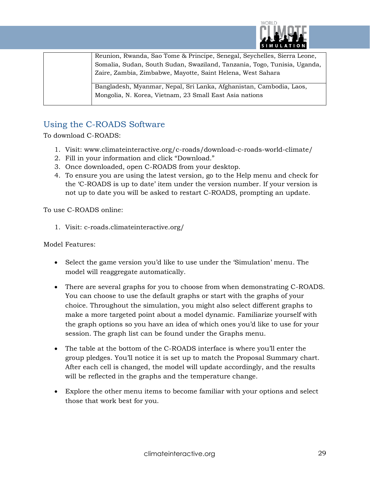

Reunion, Rwanda, Sao Tome & Principe, Senegal, Seychelles, Sierra Leone, Somalia, Sudan, South Sudan, Swaziland, Tanzania, Togo, Tunisia, Uganda, Zaire, Zambia, Zimbabwe, Mayotte, Saint Helena, West Sahara

Bangladesh, Myanmar, Nepal, Sri Lanka, Afghanistan, Cambodia, Laos, Mongolia, N. Korea, Vietnam, 23 Small East Asia nations

## Using the C-ROADS Software

To download C-ROADS:

- 1. Visit: www.climateinteractive.org/c-roads/download-c-roads-world-climate/
- 2. Fill in your information and click "Download."
- 3. Once downloaded, open C-ROADS from your desktop.
- 4. To ensure you are using the latest version, go to the Help menu and check for the 'C-ROADS is up to date' item under the version number. If your version is not up to date you will be asked to restart C-ROADS, prompting an update.

To use C-ROADS online:

1. Visit: c-roads.climateinteractive.org/

Model Features:

- Select the game version you'd like to use under the 'Simulation' menu. The model will reaggregate automatically.
- There are several graphs for you to choose from when demonstrating C-ROADS. You can choose to use the default graphs or start with the graphs of your choice. Throughout the simulation, you might also select different graphs to make a more targeted point about a model dynamic. Familiarize yourself with the graph options so you have an idea of which ones you'd like to use for your session. The graph list can be found under the Graphs menu.
- The table at the bottom of the C-ROADS interface is where you'll enter the group pledges. You'll notice it is set up to match the Proposal Summary chart. After each cell is changed, the model will update accordingly, and the results will be reflected in the graphs and the temperature change.
- Explore the other menu items to become familiar with your options and select those that work best for you.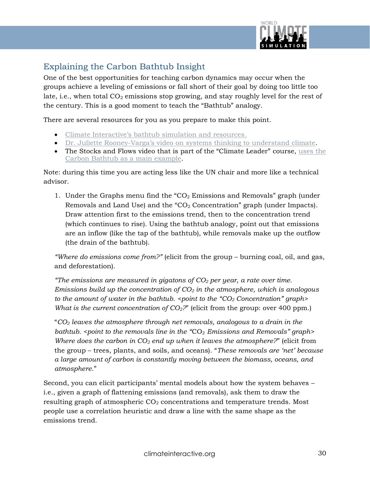

## Explaining the Carbon Bathtub Insight

One of the best opportunities for teaching carbon dynamics may occur when the groups achieve a leveling of emissions or fall short of their goal by doing too little too late, i.e., when total  $CO_2$  emissions stop growing, and stay roughly level for the rest of the century. This is a good moment to teach the "Bathtub" analogy.

There are several resources for you as you prepare to make this point.

- [Climate Interactive's bathtub simulation and resources](https://www.climateinteractive.org/tools/climate-bathtub-simulation/).
- Dr. Juliette Rooney-Varga's [video on systems thinking to understand climate.](https://vimeo.com/109199545)
- The Stocks and Flows video that is part of the "Climate Leader" course, [uses the](https://www.climateinteractive.org/the-climate-leader/stocks-and-flows/)  [Carbon Bathtub as a main example.](https://www.climateinteractive.org/the-climate-leader/stocks-and-flows/)

Note: during this time you are acting less like the UN chair and more like a technical advisor.

1. Under the Graphs menu find the " $CO<sub>2</sub>$  Emissions and Removals" graph (under Removals and Land Use) and the " $CO<sub>2</sub>$  Concentration" graph (under Impacts). Draw attention first to the emissions trend, then to the concentration trend (which continues to rise). Using the bathtub analogy, point out that emissions are an inflow (like the tap of the bathtub), while removals make up the outflow (the drain of the bathtub).

*"Where do emissions come from?"* (elicit from the group – burning coal, oil, and gas, and deforestation).

*"The emissions are measured in gigatons of CO<sup>2</sup> per year, a rate over time. Emissions build up the concentration of CO<sup>2</sup> in the atmosphere, which is analogous to the amount of water in the bathtub. <point to the "CO<sub>2</sub> Concentration" graph> What is the current concentration of CO<sub>2</sub>?*" (elicit from the group: over 400 ppm.)

"*CO<sup>2</sup> leaves the atmosphere through net removals, analogous to a drain in the bathtub. <point to the removals line in the "CO<sub>2</sub> <i>Emissions and Removals" graph> Where does the carbon in CO<sup>2</sup> end up when it leaves the atmosphere?*" (elicit from the group – trees, plants, and soils, and oceans). "*These removals are 'net' because a large amount of carbon is constantly moving between the biomass, oceans, and atmosphere*."

Second, you can elicit participants' mental models about how the system behaves – i.e., given a graph of flattening emissions (and removals), ask them to draw the resulting graph of atmospheric  $CO<sub>2</sub>$  concentrations and temperature trends. Most people use a correlation heuristic and draw a line with the same shape as the emissions trend.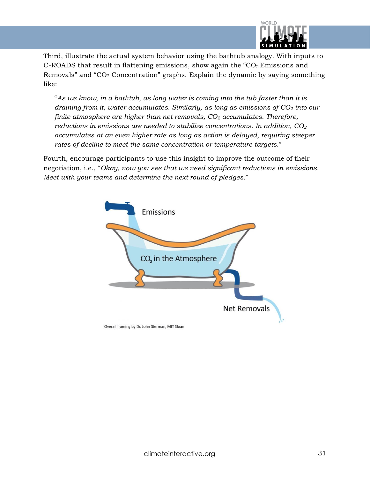

Third, illustrate the actual system behavior using the bathtub analogy. With inputs to C-ROADS that result in flattening emissions, show again the " $CO<sub>2</sub>$  Emissions and Removals" and " $CO<sub>2</sub>$  Concentration" graphs. Explain the dynamic by saying something like:

"*As we know, in a bathtub, as long water is coming into the tub faster than it is draining from it, water accumulates. Similarly, as long as emissions of CO<sup>2</sup> into our finite atmosphere are higher than net removals, CO<sup>2</sup> accumulates. Therefore, reductions in emissions are needed to stabilize concentrations. In addition, CO<sup>2</sup> accumulates at an even higher rate as long as action is delayed, requiring steeper rates of decline to meet the same concentration or temperature targets.*"

Fourth, encourage participants to use this insight to improve the outcome of their negotiation, i.e., "*Okay, now you see that we need significant reductions in emissions. Meet with your teams and determine the next round of pledges.*"